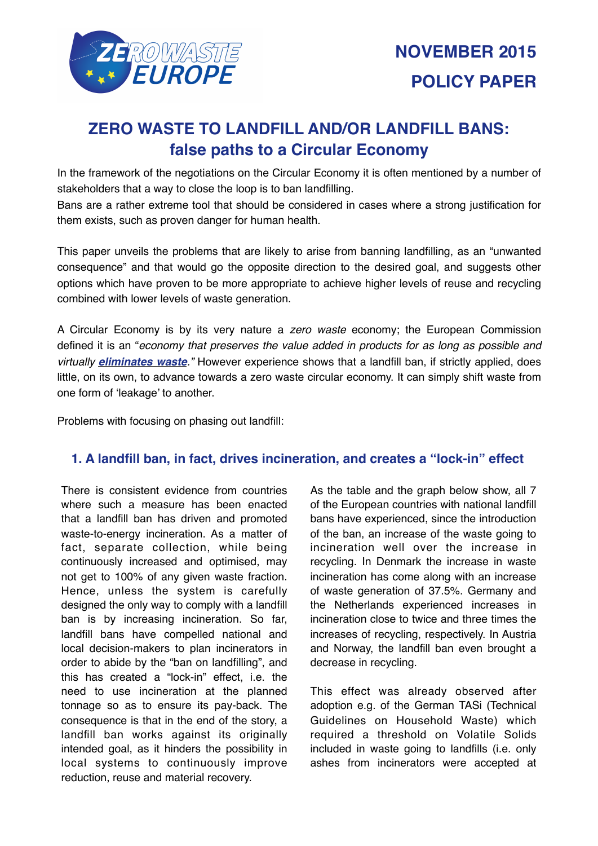

# **ZERO WASTE TO LANDFILL AND/OR LANDFILL BANS: false paths to a Circular Economy**

In the framework of the negotiations on the Circular Economy it is often mentioned by a number of stakeholders that a way to close the loop is to ban landfilling.

Bans are a rather extreme tool that should be considered in cases where a strong justification for them exists, such as proven danger for human health.

This paper unveils the problems that are likely to arise from banning landfilling, as an "unwanted consequence" and that would go the opposite direction to the desired goal, and suggests other options which have proven to be more appropriate to achieve higher levels of reuse and recycling combined with lower levels of waste generation.

A Circular Economy is by its very nature a *zero waste* economy; the European Commission defined it is an "*economy that preserves the value added in products for as long as possible and virtually eliminates waste."* However experience shows that a landfill ban, if strictly applied, does little, on its own, to advance towards a zero waste circular economy. It can simply shift waste from one form of 'leakage' to another.

Problems with focusing on phasing out landfill:

# **1. A landfill ban, in fact, drives incineration, and creates a "lock-in" effect**

There is consistent evidence from countries where such a measure has been enacted that a landfill ban has driven and promoted waste-to-energy incineration. As a matter of fact, separate collection, while being continuously increased and optimised, may not get to 100% of any given waste fraction. Hence, unless the system is carefully designed the only way to comply with a landfill ban is by increasing incineration. So far, landfill bans have compelled national and local decision-makers to plan incinerators in order to abide by the "ban on landfilling", and this has created a "lock-in" effect, i.e. the need to use incineration at the planned tonnage so as to ensure its pay-back. The consequence is that in the end of the story, a landfill ban works against its originally intended goal, as it hinders the possibility in local systems to continuously improve reduction, reuse and material recovery.

As the table and the graph below show, all 7 of the European countries with national landfill bans have experienced, since the introduction of the ban, an increase of the waste going to incineration well over the increase in recycling. In Denmark the increase in waste incineration has come along with an increase of waste generation of 37.5%. Germany and the Netherlands experienced increases in incineration close to twice and three times the increases of recycling, respectively. In Austria and Norway, the landfill ban even brought a decrease in recycling.

This effect was already observed after adoption e.g. of the German TASi (Technical Guidelines on Household Waste) which required a threshold on Volatile Solids included in waste going to landfills (i.e. only ashes from incinerators were accepted at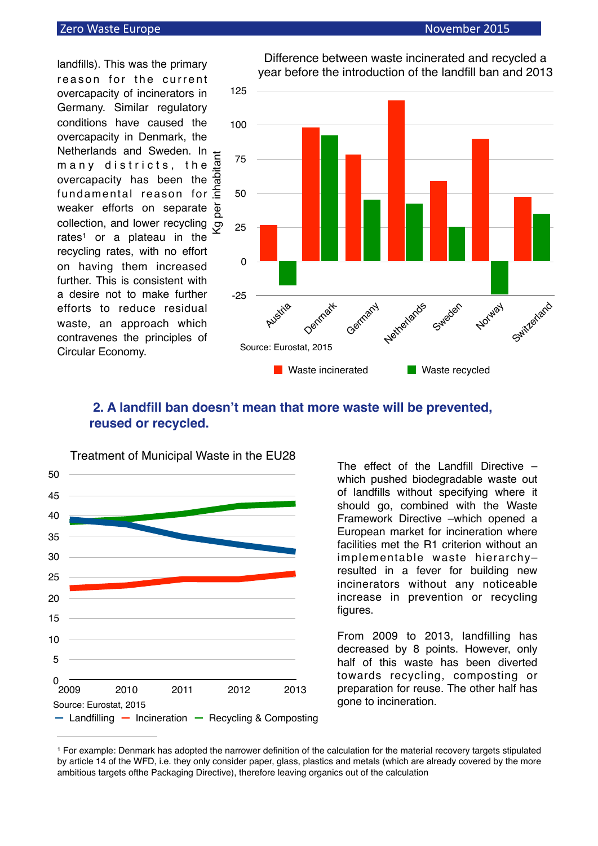#### **Zero** Waste Europe *CONSIDER CONSIDER MELTINGER November* 2015

landfills). This was the primary reason for the current overcapacity of incinerators in Germany. Similar regulatory conditions have caused the overcapacity in Denmark, the Netherlands and Sweden. In  $\pm$ many districts, the overcapacity has been the fundamental reason for weaker efforts on separate collection, and lower recycling  $\overline{\mathcal{P}}$ rates<sup>[1](#page-1-0)</sup> or a plateau in the recycling rates, with no effort on having them increased further. This is consistent with a desire not to make further efforts to reduce residual waste, an approach which contravenes the principles of Circular Economy. Kg per inhabitant





#### Difference between waste incinerated and recycled a year before the introduction of the landfill ban and 2013

# <span id="page-1-1"></span> **2. A landfill ban doesn't mean that more waste will be prevented, reused or recycled.**



The effect of the Landfill Directive – which pushed biodegradable waste out of landfills without specifying where it should go, combined with the Waste Framework Directive –which opened a European market for incineration where facilities met the R1 criterion without an implementable waste hierarchy– resulted in a fever for building new incinerators without any noticeable increase in prevention or recycling figures.

From 2009 to 2013, landfilling has decreased by 8 points. However, only half of this waste has been diverted towards recycling, composting or preparation for reuse. The other half has gone to incineration.

<span id="page-1-0"></span><sup>&</sup>lt;sup>[1](#page-1-1)</sup> For example: Denmark has adopted the narrower definition of the calculation for the material recovery targets stipulated by article 14 of the WFD, i.e. they only consider paper, glass, plastics and metals (which are already covered by the more ambitious targets ofthe Packaging Directive), therefore leaving organics out of the calculation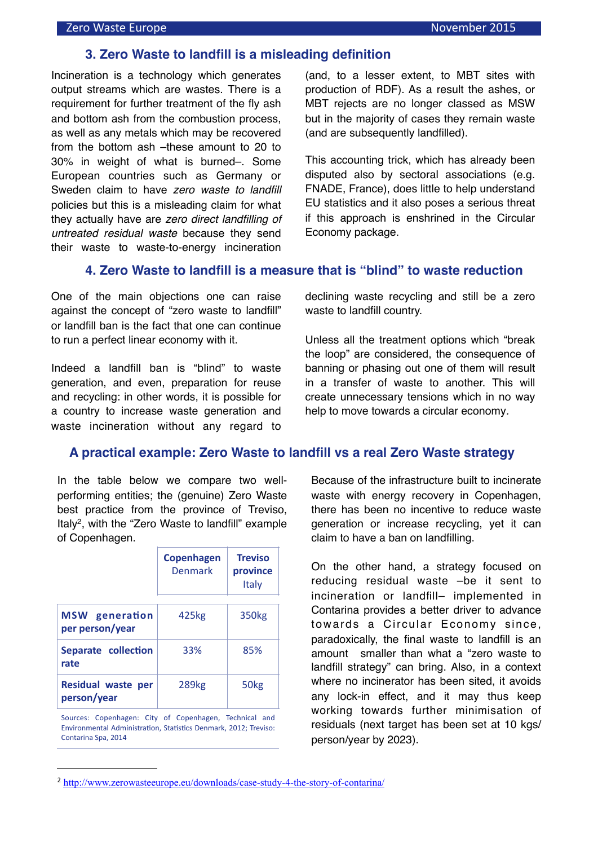#### **3. Zero Waste to landfill is a misleading definition**

Incineration is a technology which generates output streams which are wastes. There is a requirement for further treatment of the fly ash and bottom ash from the combustion process, as well as any metals which may be recovered from the bottom ash –these amount to 20 to 30% in weight of what is burned–. Some European countries such as Germany or Sweden claim to have *zero waste to landfill*  policies but this is a misleading claim for what they actually have are *zero direct landfilling of untreated residual waste* because they send their waste to waste-to-energy incineration (and, to a lesser extent, to MBT sites with production of RDF). As a result the ashes, or MBT rejects are no longer classed as MSW but in the majority of cases they remain waste (and are subsequently landfilled).

This accounting trick, which has already been disputed also by sectoral associations (e.g. FNADE, France), does little to help understand EU statistics and it also poses a serious threat if this approach is enshrined in the Circular Economy package.

## **4. Zero Waste to landfill is a measure that is "blind" to waste reduction**

One of the main objections one can raise against the concept of "zero waste to landfill" or landfill ban is the fact that one can continue to run a perfect linear economy with it.

Indeed a landfill ban is "blind" to waste generation, and even, preparation for reuse and recycling: in other words, it is possible for a country to increase waste generation and waste incineration without any regard to

declining waste recycling and still be a zero waste to landfill country.

Unless all the treatment options which "break the loop" are considered, the consequence of banning or phasing out one of them will result in a transfer of waste to another. This will create unnecessary tensions which in no way help to move towards a circular economy*.*

## **A practical example: Zero Waste to landfill vs a real Zero Waste strategy**

In the table below we compare two wellperforming entities; the (genuine) Zero Waste best practice from the province of Treviso, Italy<sup>[2](#page-2-0)</sup>, with the "Zero Waste to landfill" example of Copenhagen.

<span id="page-2-1"></span>

|                                          | <b>Copenhagen</b><br>Denmark | <b>Treviso</b><br>province<br>Italy |
|------------------------------------------|------------------------------|-------------------------------------|
| generation<br>MSW<br>per person/year     | 425kg                        | 350 <sub>kg</sub>                   |
| Separate collection<br>rate              | 33%                          | 85%                                 |
| <b>Residual waste per</b><br>person/year | 289 <sub>kg</sub>            | 50 <sub>kg</sub>                    |

Sources: Copenhagen: City of Copenhagen, Technical and Environmental Administration, Statistics Denmark, 2012; Treviso: Contarina Spa, 2014

Because of the infrastructure built to incinerate waste with energy recovery in Copenhagen, there has been no incentive to reduce waste generation or increase recycling, yet it can claim to have a ban on landfilling.

On the other hand, a strategy focused on reducing residual waste –be it sent to incineration or landfill– implemented in Contarina provides a better driver to advance towards a Circular Economy since, paradoxically, the final waste to landfill is an amount smaller than what a "zero waste to landfill strategy" can bring. Also, in a context where no incinerator has been sited, it avoids any lock-in effect, and it may thus keep working towards further minimisation of residuals (next target has been set at 10 kgs/ person/year by 2023).

<span id="page-2-0"></span><http://www.zerowasteeurope.eu/downloads/case-study-4-the-story-of-contarina/> [2](#page-2-1)